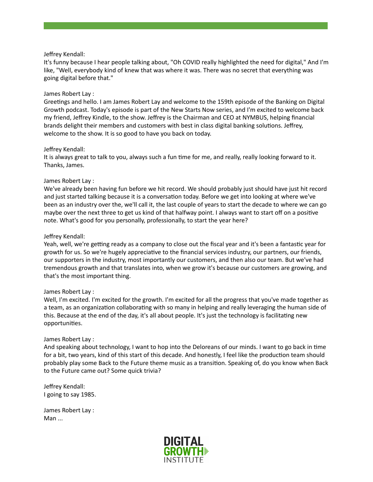### Jeffrey Kendall:

It's funny because I hear people talking about, "Oh COVID really highlighted the need for digital," And I'm like, "Well, everybody kind of knew that was where it was. There was no secret that everything was going digital before that."

### James Robert Lay :

Greetings and hello. I am James Robert Lay and welcome to the 159th episode of the Banking on Digital Growth podcast. Today's episode is part of the New Starts Now series, and I'm excited to welcome back my friend, Jeffrey Kindle, to the show. Jeffrey is the Chairman and CEO at NYMBUS, helping financial brands delight their members and customers with best in class digital banking solutions. Jeffrey, welcome to the show. It is so good to have you back on today.

## Jeffrey Kendall:

It is always great to talk to you, always such a fun time for me, and really, really looking forward to it. Thanks, James.

## James Robert Lay :

We've already been having fun before we hit record. We should probably just should have just hit record and just started talking because it is a conversation today. Before we get into looking at where we've been as an industry over the, we'll call it, the last couple of years to start the decade to where we can go maybe over the next three to get us kind of that halfway point. I always want to start off on a positive note. What's good for you personally, professionally, to start the year here?

## Jeffrey Kendall:

Yeah, well, we're getting ready as a company to close out the fiscal year and it's been a fantastic year for growth for us. So we're hugely appreciative to the financial services industry, our partners, our friends, our supporters in the industry, most importantly our customers, and then also our team. But we've had tremendous growth and that translates into, when we grow it's because our customers are growing, and that's the most important thing.

### James Robert Lay :

Well, I'm excited. I'm excited for the growth. I'm excited for all the progress that you've made together as a team, as an organization collaborating with so many in helping and really leveraging the human side of this. Because at the end of the day, it's all about people. It's just the technology is facilitating new opportunities.

### James Robert Lay :

And speaking about technology, I want to hop into the Deloreans of our minds. I want to go back in time for a bit, two years, kind of this start of this decade. And honestly, I feel like the production team should probably play some Back to the Future theme music as a transition. Speaking of, do you know when Back to the Future came out? Some quick trivia?

Jeffrey Kendall: I going to say 1985.

James Robert Lay : Man ...

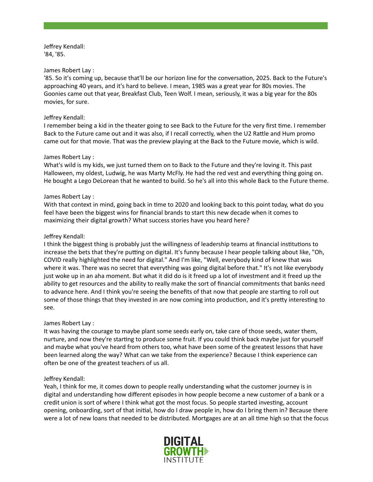Jeffrey Kendall: '84, '85.

### James Robert Lay :

'85. So it's coming up, because that'll be our horizon line for the conversation, 2025. Back to the Future's approaching 40 years, and it's hard to believe. I mean, 1985 was a great year for 80s movies. The Goonies came out that year, Breakfast Club, Teen Wolf. I mean, seriously, it was a big year for the 80s movies, for sure.

### Jeffrey Kendall:

I remember being a kid in the theater going to see Back to the Future for the very first time. I remember Back to the Future came out and it was also, if I recall correctly, when the U2 Rattle and Hum promo came out for that movie. That was the preview playing at the Back to the Future movie, which is wild.

#### James Robert Lay :

What's wild is my kids, we just turned them on to Back to the Future and they're loving it. This past Halloween, my oldest, Ludwig, he was Marty McFly. He had the red vest and everything thing going on. He bought a Lego DeLorean that he wanted to build. So he's all into this whole Back to the Future theme.

#### James Robert Lay :

With that context in mind, going back in time to 2020 and looking back to this point today, what do you feel have been the biggest wins for financial brands to start this new decade when it comes to maximizing their digital growth? What success stories have you heard here?

### Jeffrey Kendall:

I think the biggest thing is probably just the willingness of leadership teams at financial institutions to increase the bets that they're putting on digital. It's funny because I hear people talking about like, "Oh, COVID really highlighted the need for digital." And I'm like, "Well, everybody kind of knew that was where it was. There was no secret that everything was going digital before that." It's not like everybody just woke up in an aha moment. But what it did do is it freed up a lot of investment and it freed up the ability to get resources and the ability to really make the sort of financial commitments that banks need to advance here. And I think you're seeing the benefits of that now that people are starting to roll out some of those things that they invested in are now coming into production, and it's pretty interesting to see.

### James Robert Lay :

It was having the courage to maybe plant some seeds early on, take care of those seeds, water them, nurture, and now they're starting to produce some fruit. If you could think back maybe just for yourself and maybe what you've heard from others too, what have been some of the greatest lessons that have been learned along the way? What can we take from the experience? Because I think experience can often be one of the greatest teachers of us all.

### Jeffrey Kendall:

Yeah, I think for me, it comes down to people really understanding what the customer journey is in digital and understanding how different episodes in how people become a new customer of a bank or a credit union is sort of where I think what got the most focus. So people started investing, account opening, onboarding, sort of that initial, how do I draw people in, how do I bring them in? Because there were a lot of new loans that needed to be distributed. Mortgages are at an all time high so that the focus

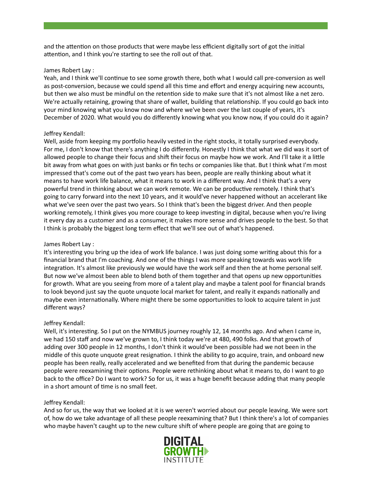and the attention on those products that were maybe less efficient digitally sort of got the initial attention, and I think you're starting to see the roll out of that.

### James Robert Lay :

Yeah, and I think we'll continue to see some growth there, both what I would call pre-conversion as well as post-conversion, because we could spend all this time and effort and energy acquiring new accounts, but then we also must be mindful on the retention side to make sure that it's not almost like a net zero. We're actually retaining, growing that share of wallet, building that relationship. If you could go back into your mind knowing what you know now and where we've been over the last couple of years, it's December of 2020. What would you do differently knowing what you know now, if you could do it again?

# Jeffrey Kendall:

Well, aside from keeping my portfolio heavily vested in the right stocks, it totally surprised everybody. For me, I don't know that there's anything I do differently. Honestly I think that what we did was it sort of allowed people to change their focus and shift their focus on maybe how we work. And I'll take it a little bit away from what goes on with just banks or fin techs or companies like that. But I think what I'm most impressed that's come out of the past two years has been, people are really thinking about what it means to have work life balance, what it means to work in a different way. And I think that's a very powerful trend in thinking about we can work remote. We can be productive remotely. I think that's going to carry forward into the next 10 years, and it would've never happened without an accelerant like what we've seen over the past two years. So I think that's been the biggest driver. And then people working remotely, I think gives you more courage to keep investing in digital, because when you're living it every day as a customer and as a consumer, it makes more sense and drives people to the best. So that I think is probably the biggest long term effect that we'll see out of what's happened.

# James Robert Lay :

It's interesting you bring up the idea of work life balance. I was just doing some writing about this for a financial brand that I'm coaching. And one of the things I was more speaking towards was work life integration. It's almost like previously we would have the work self and then the at home personal self. But now we've almost been able to blend both of them together and that opens up new opportunities for growth. What are you seeing from more of a talent play and maybe a talent pool for financial brands to look beyond just say the quote unquote local market for talent, and really it expands nationally and maybe even internationally. Where might there be some opportunities to look to acquire talent in just different ways?

# Jeffrey Kendall:

Well, it's interesting. So I put on the NYMBUS journey roughly 12, 14 months ago. And when I came in, we had 150 staff and now we've grown to, I think today we're at 480, 490 folks. And that growth of adding over 300 people in 12 months, I don't think it would've been possible had we not been in the middle of this quote unquote great resignation. I think the ability to go acquire, train, and onboard new people has been really, really accelerated and we benefited from that during the pandemic because people were reexamining their options. People were rethinking about what it means to, do I want to go back to the office? Do I want to work? So for us, it was a huge benefit because adding that many people in a short amount of time is no small feet.

### Jeffrey Kendall:

And so for us, the way that we looked at it is we weren't worried about our people leaving. We were sort of, how do we take advantage of all these people reexamining that? But I think there's a lot of companies who maybe haven't caught up to the new culture shift of where people are going that are going to

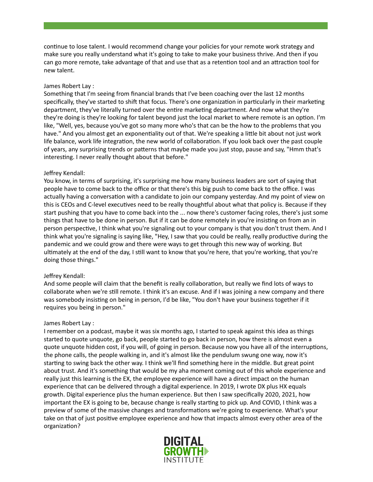continue to lose talent. I would recommend change your policies for your remote work strategy and make sure you really understand what it's going to take to make your business thrive. And then if you can go more remote, take advantage of that and use that as a retention tool and an attraction tool for new talent.

## James Robert Lay :

Something that I'm seeing from financial brands that I've been coaching over the last 12 months specifically, they've started to shift that focus. There's one organization in particularly in their marketing department, they've literally turned over the entire marketing department. And now what they're they're doing is they're looking for talent beyond just the local market to where remote is an option. I'm like, "Well, yes, because you've got so many more who's that can be the how to the problems that you have." And you almost get an exponentiality out of that. We're speaking a little bit about not just work life balance, work life integration, the new world of collaboration. If you look back over the past couple of years, any surprising trends or patterns that maybe made you just stop, pause and say, "Hmm that's interesting. I never really thought about that before."

## Jeffrey Kendall:

You know, in terms of surprising, it's surprising me how many business leaders are sort of saying that people have to come back to the office or that there's this big push to come back to the office. I was actually having a conversation with a candidate to join our company yesterday. And my point of view on this is CEOs and C-level executives need to be really thoughtful about what that policy is. Because if they start pushing that you have to come back into the ... now there's customer facing roles, there's just some things that have to be done in person. But if it can be done remotely in you're insisting on from an in person perspective, I think what you're signaling out to your company is that you don't trust them. And I think what you're signaling is saying like, "Hey, I saw that you could be really, really productive during the pandemic and we could grow and there were ways to get through this new way of working. But ultimately at the end of the day, I still want to know that you're here, that you're working, that you're doing those things."

# Jeffrey Kendall:

And some people will claim that the benefit is really collaboration, but really we find lots of ways to collaborate when we're still remote. I think it's an excuse. And if I was joining a new company and there was somebody insisting on being in person, I'd be like, "You don't have your business together if it requires you being in person."

### James Robert Lay :

I remember on a podcast, maybe it was six months ago, I started to speak against this idea as things started to quote unquote, go back, people started to go back in person, how there is almost even a quote unquote hidden cost, if you will, of going in person. Because now you have all of the interruptions, the phone calls, the people walking in, and it's almost like the pendulum swung one way, now it's starting to swing back the other way. I think we'll find something here in the middle. But great point about trust. And it's something that would be my aha moment coming out of this whole experience and really just this learning is the EX, the employee experience will have a direct impact on the human experience that can be delivered through a digital experience. In 2019, I wrote DX plus HX equals growth. Digital experience plus the human experience. But then I saw specifically 2020, 2021, how important the EX is going to be, because change is really starting to pick up. And COVID, I think was a preview of some of the massive changes and transformations we're going to experience. What's your take on that of just positive employee experience and how that impacts almost every other area of the organization?

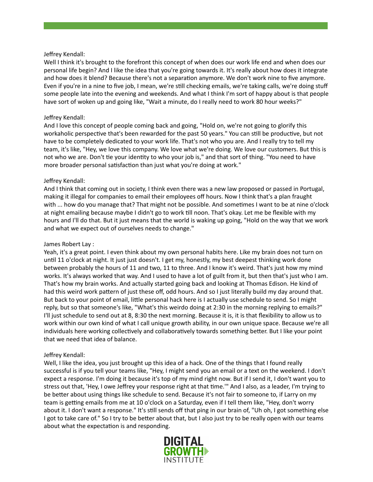## Jeffrey Kendall:

Well I think it's brought to the forefront this concept of when does our work life end and when does our personal life begin? And I like the idea that you're going towards it. It's really about how does it integrate and how does it blend? Because there's not a separation anymore. We don't work nine to five anymore. Even if you're in a nine to five job, I mean, we're still checking emails, we're taking calls, we're doing stuff some people late into the evening and weekends. And what I think I'm sort of happy about is that people have sort of woken up and going like, "Wait a minute, do I really need to work 80 hour weeks?"

# Jeffrey Kendall:

And I love this concept of people coming back and going, "Hold on, we're not going to glorify this workaholic perspective that's been rewarded for the past 50 years." You can still be productive, but not have to be completely dedicated to your work life. That's not who you are. And I really try to tell my team, it's like, "Hey, we love this company. We love what we're doing. We love our customers. But this is not who we are. Don't tie your identity to who your job is," and that sort of thing. "You need to have more broader personal satisfaction than just what you're doing at work."

## Jeffrey Kendall:

And I think that coming out in society, I think even there was a new law proposed or passed in Portugal, making it illegal for companies to email their employees off hours. Now I think that's a plan fraught with ... how do you manage that? That might not be possible. And sometimes I want to be at nine o'clock at night emailing because maybe I didn't go to work till noon. That's okay. Let me be flexible with my hours and I'll do that. But it just means that the world is waking up going, "Hold on the way that we work and what we expect out of ourselves needs to change."

### James Robert Lay :

Yeah, it's a great point. I even think about my own personal habits here. Like my brain does not turn on until 11 o'clock at night. It just just doesn't. I get my, honestly, my best deepest thinking work done between probably the hours of 11 and two, 11 to three. And I know it's weird. That's just how my mind works. It's always worked that way. And I used to have a lot of guilt from it, but then that's just who I am. That's how my brain works. And actually started going back and looking at Thomas Edison. He kind of had this weird work pattern of just these off, odd hours. And so I just literally build my day around that. But back to your point of email, little personal hack here is I actually use schedule to send. So I might reply, but so that someone's like, "What's this weirdo doing at 2:30 in the morning replying to emails?" I'll just schedule to send out at 8, 8:30 the next morning. Because it is, it is that flexibility to allow us to work within our own kind of what I call unique growth ability, in our own unique space. Because we're all individuals here working collectively and collaboratively towards something better. But I like your point that we need that idea of balance.

# Jeffrey Kendall:

Well, I like the idea, you just brought up this idea of a hack. One of the things that I found really successful is if you tell your teams like, "Hey, I might send you an email or a text on the weekend. I don't expect a response. I'm doing it because it's top of my mind right now. But if I send it, I don't want you to stress out that, 'Hey, I owe Jeffrey your response right at that time.'" And I also, as a leader, I'm trying to be better about using things like schedule to send. Because it's not fair to someone to, if Larry on my team is getting emails from me at 10 o'clock on a Saturday, even if I tell them like, "Hey, don't worry about it. I don't want a response." It's still sends off that ping in our brain of, "Uh oh, I got something else I got to take care of." So I try to be better about that, but I also just try to be really open with our teams about what the expectation is and responding.

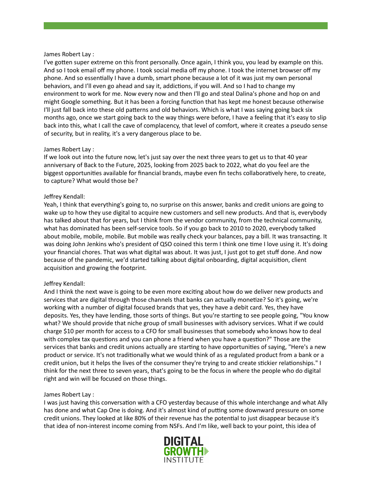#### James Robert Lay :

I've gotten super extreme on this front personally. Once again, I think you, you lead by example on this. And so I took email off my phone. I took social media off my phone. I took the internet browser off my phone. And so essentially I have a dumb, smart phone because a lot of it was just my own personal behaviors, and I'll even go ahead and say it, addictions, if you will. And so I had to change my environment to work for me. Now every now and then I'll go and steal Dalina's phone and hop on and might Google something. But it has been a forcing function that has kept me honest because otherwise I'll just fall back into these old patterns and old behaviors. Which is what I was saying going back six months ago, once we start going back to the way things were before, I have a feeling that it's easy to slip back into this, what I call the cave of complacency, that level of comfort, where it creates a pseudo sense of security, but in reality, it's a very dangerous place to be.

## James Robert Lay :

If we look out into the future now, let's just say over the next three years to get us to that 40 year anniversary of Back to the Future, 2025, looking from 2025 back to 2022, what do you feel are the biggest opportunities available for financial brands, maybe even fin techs collaboratively here, to create, to capture? What would those be?

## Jeffrey Kendall:

Yeah, I think that everything's going to, no surprise on this answer, banks and credit unions are going to wake up to how they use digital to acquire new customers and sell new products. And that is, everybody has talked about that for years, but I think from the vendor community, from the technical community, what has dominated has been self-service tools. So if you go back to 2010 to 2020, everybody talked about mobile, mobile, mobile. But mobile was really check your balances, pay a bill. It was transacting. It was doing John Jenkins who's president of QSO coined this term I think one time I love using it. It's doing your financial chores. That was what digital was about. It was just, I just got to get stuff done. And now because of the pandemic, we'd started talking about digital onboarding, digital acquisition, client acquisition and growing the footprint.

# Jeffrey Kendall:

And I think the next wave is going to be even more exciting about how do we deliver new products and services that are digital through those channels that banks can actually monetize? So it's going, we're working with a number of digital focused brands that yes, they have a debit card. Yes, they have deposits. Yes, they have lending, those sorts of things. But you're starting to see people going, "You know what? We should provide that niche group of small businesses with advisory services. What if we could charge \$10 per month for access to a CFO for small businesses that somebody who knows how to deal with complex tax questions and you can phone a friend when you have a question?" Those are the services that banks and credit unions actually are starting to have opportunities of saying, "Here's a new product or service. It's not traditionally what we would think of as a regulated product from a bank or a credit union, but it helps the lives of the consumer they're trying to and create stickier relationships." I think for the next three to seven years, that's going to be the focus in where the people who do digital right and win will be focused on those things.

### James Robert Lay :

I was just having this conversation with a CFO yesterday because of this whole interchange and what Ally has done and what Cap One is doing. And it's almost kind of putting some downward pressure on some credit unions. They looked at like 80% of their revenue has the potential to just disappear because it's that idea of non-interest income coming from NSFs. And I'm like, well back to your point, this idea of

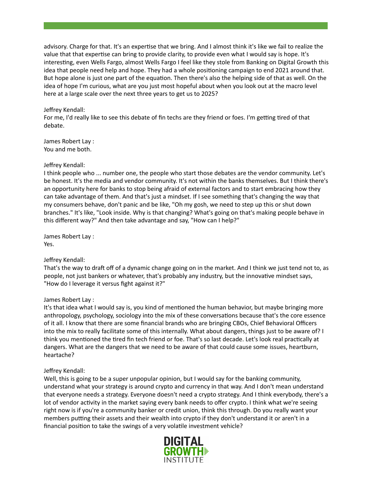advisory. Charge for that. It's an expertise that we bring. And I almost think it's like we fail to realize the value that that expertise can bring to provide clarity, to provide even what I would say is hope. It's interesting, even Wells Fargo, almost Wells Fargo I feel like they stole from Banking on Digital Growth this idea that people need help and hope. They had a whole positioning campaign to end 2021 around that. But hope alone is just one part of the equation. Then there's also the helping side of that as well. On the idea of hope I'm curious, what are you just most hopeful about when you look out at the macro level here at a large scale over the next three years to get us to 2025?

## Jeffrey Kendall:

For me, I'd really like to see this debate of fin techs are they friend or foes. I'm getting tired of that debate.

James Robert Lay : You and me both.

## Jeffrey Kendall:

I think people who ... number one, the people who start those debates are the vendor community. Let's be honest. It's the media and vendor community. It's not within the banks themselves. But I think there's an opportunity here for banks to stop being afraid of external factors and to start embracing how they can take advantage of them. And that's just a mindset. If I see something that's changing the way that my consumers behave, don't panic and be like, "Oh my gosh, we need to step up this or shut down branches." It's like, "Look inside. Why is that changing? What's going on that's making people behave in this different way?" And then take advantage and say, "How can I help?"

James Robert Lay : Yes.

# Jeffrey Kendall:

That's the way to draft off of a dynamic change going on in the market. And I think we just tend not to, as people, not just bankers or whatever, that's probably any industry, but the innovative mindset says, "How do I leverage it versus fight against it?"

### James Robert Lay :

It's that idea what I would say is, you kind of mentioned the human behavior, but maybe bringing more anthropology, psychology, sociology into the mix of these conversations because that's the core essence of it all. I know that there are some financial brands who are bringing CBOs, Chief Behavioral Officers into the mix to really facilitate some of this internally. What about dangers, things just to be aware of? I think you mentioned the tired fin tech friend or foe. That's so last decade. Let's look real practically at dangers. What are the dangers that we need to be aware of that could cause some issues, heartburn, heartache?

### Jeffrey Kendall:

Well, this is going to be a super unpopular opinion, but I would say for the banking community, understand what your strategy is around crypto and currency in that way. And I don't mean understand that everyone needs a strategy. Everyone doesn't need a crypto strategy. And I think everybody, there's a lot of vendor activity in the market saying every bank needs to offer crypto. I think what we're seeing right now is if you're a community banker or credit union, think this through. Do you really want your members putting their assets and their wealth into crypto if they don't understand it or aren't in a financial position to take the swings of a very volatile investment vehicle?

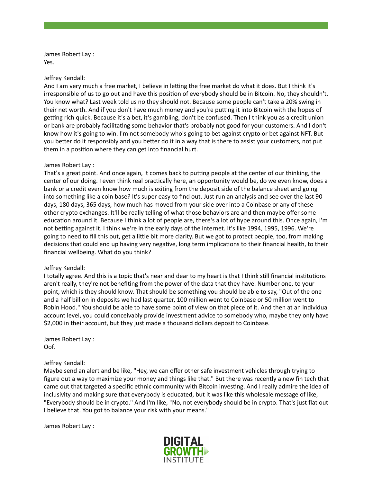James Robert Lay : Yes.

#### Jeffrey Kendall:

And I am very much a free market, I believe in letting the free market do what it does. But I think it's irresponsible of us to go out and have this position of everybody should be in Bitcoin. No, they shouldn't. You know what? Last week told us no they should not. Because some people can't take a 20% swing in their net worth. And if you don't have much money and you're putting it into Bitcoin with the hopes of getting rich quick. Because it's a bet, it's gambling, don't be confused. Then I think you as a credit union or bank are probably facilitating some behavior that's probably not good for your customers. And I don't know how it's going to win. I'm not somebody who's going to bet against crypto or bet against NFT. But you better do it responsibly and you better do it in a way that is there to assist your customers, not put them in a position where they can get into financial hurt.

### James Robert Lay :

That's a great point. And once again, it comes back to putting people at the center of our thinking, the center of our doing. I even think real practically here, an opportunity would be, do we even know, does a bank or a credit even know how much is exiting from the deposit side of the balance sheet and going into something like a coin base? It's super easy to find out. Just run an analysis and see over the last 90 days, 180 days, 365 days, how much has moved from your side over into a Coinbase or any of these other crypto exchanges. It'll be really telling of what those behaviors are and then maybe offer some education around it. Because I think a lot of people are, there's a lot of hype around this. Once again, I'm not betting against it. I think we're in the early days of the internet. It's like 1994, 1995, 1996. We're going to need to fill this out, get a little bit more clarity. But we got to protect people, too, from making decisions that could end up having very negative, long term implications to their financial health, to their financial wellbeing. What do you think?

### Jeffrey Kendall:

I totally agree. And this is a topic that's near and dear to my heart is that I think still financial institutions aren't really, they're not benefiting from the power of the data that they have. Number one, to your point, which is they should know. That should be something you should be able to say, "Out of the one and a half billion in deposits we had last quarter, 100 million went to Coinbase or 50 million went to Robin Hood." You should be able to have some point of view on that piece of it. And then at an individual account level, you could conceivably provide investment advice to somebody who, maybe they only have \$2,000 in their account, but they just made a thousand dollars deposit to Coinbase.

James Robert Lay : Oof.

### Jeffrey Kendall:

Maybe send an alert and be like, "Hey, we can offer other safe investment vehicles through trying to figure out a way to maximize your money and things like that." But there was recently a new fin tech that came out that targeted a specific ethnic community with Bitcoin investing. And I really admire the idea of inclusivity and making sure that everybody is educated, but it was like this wholesale message of like, "Everybody should be in crypto." And I'm like, "No, not everybody should be in crypto. That's just flat out I believe that. You got to balance your risk with your means."

James Robert Lay :

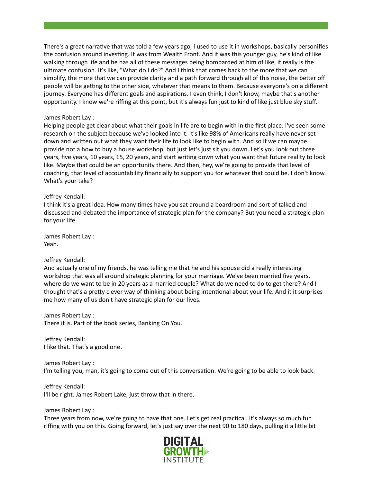There's a great narrative that was told a few years ago, I used to use it in workshops, basically personifies the confusion around investing. It was from Wealth Front. And it was this younger guy, he's kind of like walking through life and he has all of these messages being bombarded at him of like, it really is the ultimate confusion. It's like, "What do I do?" And I think that comes back to the more that we can simplify, the more that we can provide clarity and a path forward through all of this noise, the better off people will be getting to the other side, whatever that means to them. Because everyone's on a different journey. Everyone has different goals and aspirations. I even think, I don't know, maybe that's another opportunity. I know we're riffing at this point, but it's always fun just to kind of like just blue sky stuff.

## James Robert Lay :

Helping people get clear about what their goals in life are to begin with in the first place. I've seen some research on the subject because we've looked into it. It's like 98% of Americans really have never set down and written out what they want their life to look like to begin with. And so if we can maybe provide not a how to buy a house workshop, but just let's just sit you down. Let's you look out three years, five years, 10 years, 15, 20 years, and start writing down what you want that future reality to look like. Maybe that could be an opportunity there. And then, hey, we're going to provide that level of coaching, that level of accountability financially to support you for whatever that could be. I don't know. What's your take?

## Jeffrey Kendall:

I think it's a great idea. How many times have you sat around a boardroom and sort of talked and discussed and debated the importance of strategic plan for the company? But you need a strategic plan for your life.

James Robert Lay : Yeah.

# Jeffrey Kendall:

And actually one of my friends, he was telling me that he and his spouse did a really interesting workshop that was all around strategic planning for your marriage. We've been married five years, where do we want to be in 20 years as a married couple? What do we need to do to get there? And I thought that's a pretty clever way of thinking about being intentional about your life. And it it surprises me how many of us don't have strategic plan for our lives.

James Robert Lay : There it is. Part of the book series, Banking On You.

Jeffrey Kendall: I like that. That's a good one.

James Robert Lay : I'm telling you, man, it's going to come out of this conversation. We're going to be able to look back.

Jeffrey Kendall: I'll be right. James Robert Lake, just throw that in there.

### James Robert Lay :

Three years from now, we're going to have that one. Let's get real practical. It's always so much fun riffing with you on this. Going forward, let's just say over the next 90 to 180 days, pulling it a little bit

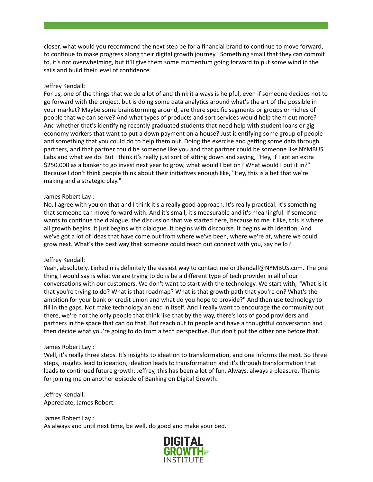closer, what would you recommend the next step be for a financial brand to continue to move forward, to continue to make progress along their digital growth journey? Something small that they can commit to, it's not overwhelming, but it'll give them some momentum going forward to put some wind in the sails and build their level of confidence.

## Jeffrey Kendall:

For us, one of the things that we do a lot of and think it always is helpful, even if someone decides not to go forward with the project, but is doing some data analytics around what's the art of the possible in your market? Maybe some brainstorming around, are there specific segments or groups or niches of people that we can serve? And what types of products and sort services would help them out more? And whether that's identifying recently graduated students that need help with student loans or gig economy workers that want to put a down payment on a house? Just identifying some group of people and something that you could do to help them out. Doing the exercise and getting some data through partners, and that partner could be someone like you and that partner could be someone like NYMBUS Labs and what we do. But I think it's really just sort of sitting down and saying, "Hey, if I got an extra \$250,000 as a banker to go invest next year to grow, what would I bet on? What would I put it in?" Because I don't think people think about their initiatives enough like, "Hey, this is a bet that we're making and a strategic play."

### James Robert Lay :

No, I agree with you on that and I think it's a really good approach. It's really practical. It's something that someone can move forward with. And it's small, it's measurable and it's meaningful. If someone wants to continue the dialogue, the discussion that we started here, because to me it like, this is where all growth begins. It just begins with dialogue. It begins with discourse. It begins with ideation. And we've got a lot of ideas that have come out from where we've been, where we're at, where we could grow next. What's the best way that someone could reach out connect with you, say hello?

### Jeffrey Kendall:

Yeah, absolutely. LinkedIn is definitely the easiest way to contact me or Jkendall@NYMBUS.com. The one thing I would say is what we are trying to do is be a different type of tech provider in all of our conversations with our customers. We don't want to start with the technology. We start with, "What is it that you're trying to do? What is that roadmap? What is that growth path that you're on? What's the ambition for your bank or credit union and what do you hope to provide?" And then use technology to fill in the gaps. Not make technology an end in itself. And I really want to encourage the community out there, we're not the only people that think like that by the way, there's lots of good providers and partners in the space that can do that. But reach out to people and have a thoughtful conversation and then decide what you're going to do from a tech perspective. But don't put the other one before that.

#### James Robert Lay :

Well, it's really three steps. It's insights to ideation to transformation, and one informs the next. So three steps, insights lead to ideation, ideation leads to transformation and it's through transformation that leads to continued future growth. Jeffrey, this has been a lot of fun. Always, always a pleasure. Thanks for joining me on another episode of Banking on Digital Growth.

## Jeffrey Kendall: Appreciate, James Robert.

James Robert Lay : As always and until next time, be well, do good and make your bed.